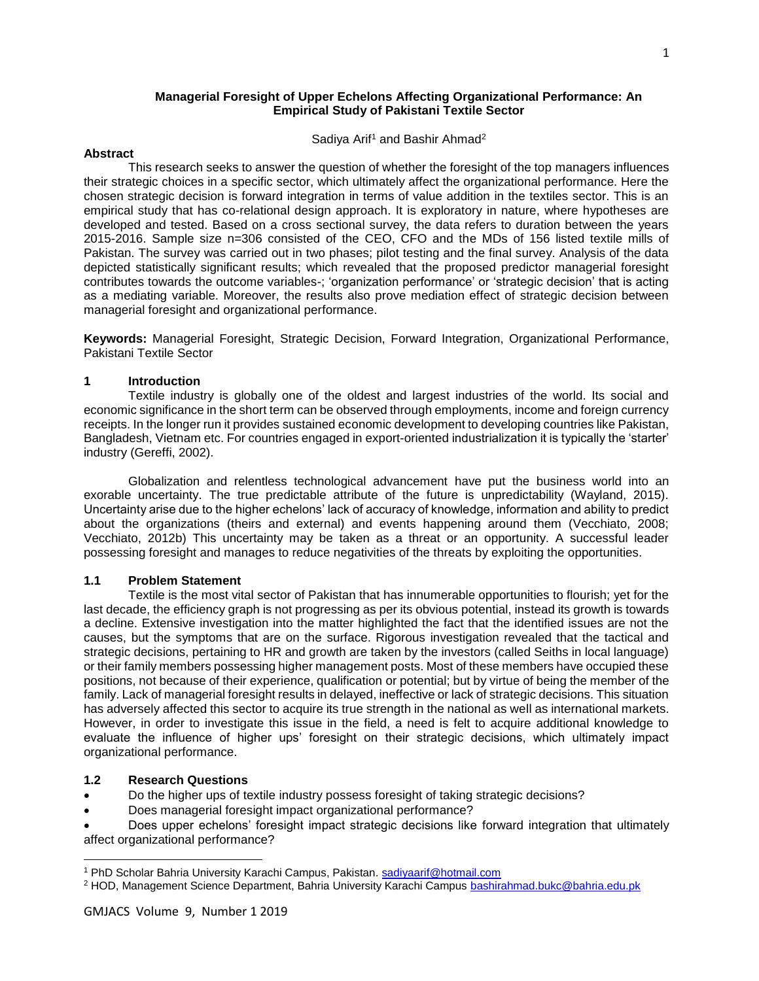# **Managerial Foresight of Upper Echelons Affecting Organizational Performance: An Empirical Study of Pakistani Textile Sector**

Sadiya Arif<sup>1</sup> and Bashir Ahmad<sup>2</sup>

## **Abstract**

This research seeks to answer the question of whether the foresight of the top managers influences their strategic choices in a specific sector, which ultimately affect the organizational performance. Here the chosen strategic decision is forward integration in terms of value addition in the textiles sector. This is an empirical study that has co-relational design approach. It is exploratory in nature, where hypotheses are developed and tested. Based on a cross sectional survey, the data refers to duration between the years 2015-2016. Sample size n=306 consisted of the CEO, CFO and the MDs of 156 listed textile mills of Pakistan. The survey was carried out in two phases; pilot testing and the final survey. Analysis of the data depicted statistically significant results; which revealed that the proposed predictor managerial foresight contributes towards the outcome variables-; 'organization performance' or 'strategic decision' that is acting as a mediating variable. Moreover, the results also prove mediation effect of strategic decision between managerial foresight and organizational performance.

**Keywords:** Managerial Foresight, Strategic Decision, Forward Integration, Organizational Performance, Pakistani Textile Sector

# **1 Introduction**

Textile industry is globally one of the oldest and largest industries of the world. Its social and economic significance in the short term can be observed through employments, income and foreign currency receipts. In the longer run it provides sustained economic development to developing countries like Pakistan, Bangladesh, Vietnam etc. For countries engaged in export-oriented industrialization it is typically the 'starter' industry (Gereffi, 2002).

Globalization and relentless technological advancement have put the business world into an exorable uncertainty. The true predictable attribute of the future is unpredictability (Wayland, 2015). Uncertainty arise due to the higher echelons' lack of accuracy of knowledge, information and ability to predict about the organizations (theirs and external) and events happening around them (Vecchiato, 2008; Vecchiato, 2012b) This uncertainty may be taken as a threat or an opportunity. A successful leader possessing foresight and manages to reduce negativities of the threats by exploiting the opportunities.

# **1.1 Problem Statement**

Textile is the most vital sector of Pakistan that has innumerable opportunities to flourish; yet for the last decade, the efficiency graph is not progressing as per its obvious potential, instead its growth is towards a decline. Extensive investigation into the matter highlighted the fact that the identified issues are not the causes, but the symptoms that are on the surface. Rigorous investigation revealed that the tactical and strategic decisions, pertaining to HR and growth are taken by the investors (called Seiths in local language) or their family members possessing higher management posts. Most of these members have occupied these positions, not because of their experience, qualification or potential; but by virtue of being the member of the family. Lack of managerial foresight results in delayed, ineffective or lack of strategic decisions. This situation has adversely affected this sector to acquire its true strength in the national as well as international markets. However, in order to investigate this issue in the field, a need is felt to acquire additional knowledge to evaluate the influence of higher ups' foresight on their strategic decisions, which ultimately impact organizational performance.

# **1.2 Research Questions**

 $\overline{\phantom{a}}$ 

- Do the higher ups of textile industry possess foresight of taking strategic decisions?
- Does managerial foresight impact organizational performance?
- Does upper echelons' foresight impact strategic decisions like forward integration that ultimately affect organizational performance?

<sup>1</sup> PhD Scholar Bahria University Karachi Campus, Pakistan. sadiyaarif@hotmail.com

<sup>&</sup>lt;sup>2</sup> HOD, Management Science Department, Bahria University Karachi Campus bashirahmad.bukc@bahria.edu.pk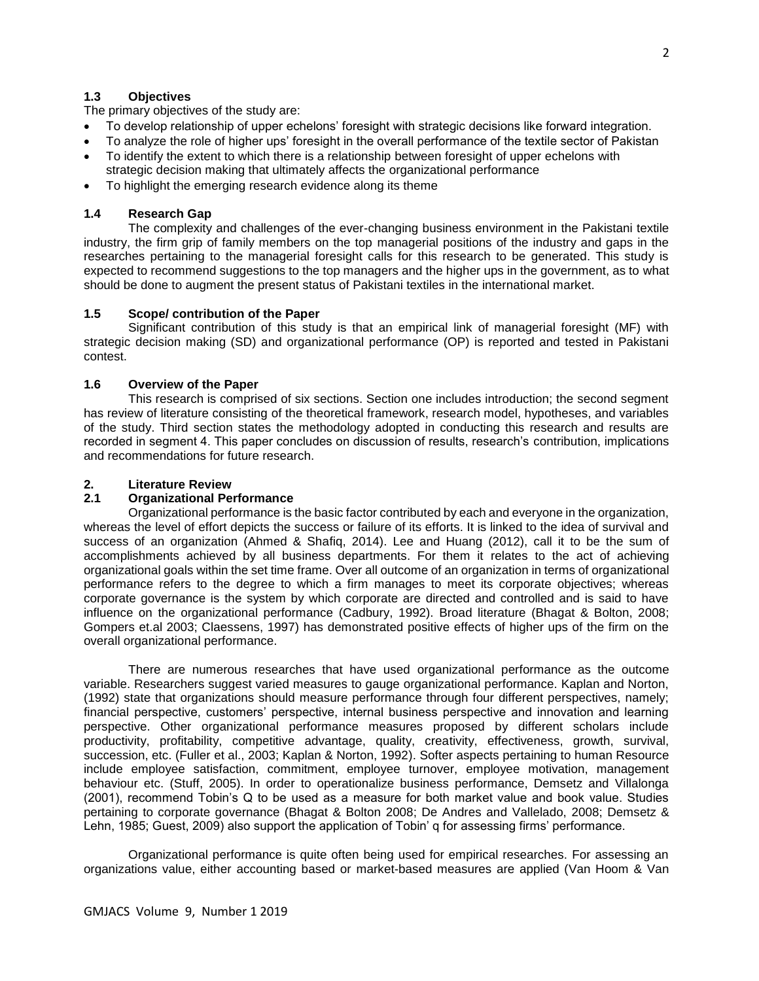# **1.3 Objectives**

The primary objectives of the study are:

- To develop relationship of upper echelons' foresight with strategic decisions like forward integration.
- To analyze the role of higher ups' foresight in the overall performance of the textile sector of Pakistan
- To identify the extent to which there is a relationship between foresight of upper echelons with strategic decision making that ultimately affects the organizational performance
- To highlight the emerging research evidence along its theme

## **1.4 Research Gap**

The complexity and challenges of the ever-changing business environment in the Pakistani textile industry, the firm grip of family members on the top managerial positions of the industry and gaps in the researches pertaining to the managerial foresight calls for this research to be generated. This study is expected to recommend suggestions to the top managers and the higher ups in the government, as to what should be done to augment the present status of Pakistani textiles in the international market.

## **1.5 Scope/ contribution of the Paper**

Significant contribution of this study is that an empirical link of managerial foresight (MF) with strategic decision making (SD) and organizational performance (OP) is reported and tested in Pakistani contest.

# **1.6 Overview of the Paper**

This research is comprised of six sections. Section one includes introduction; the second segment has review of literature consisting of the theoretical framework, research model, hypotheses, and variables of the study. Third section states the methodology adopted in conducting this research and results are recorded in segment 4. This paper concludes on discussion of results, research's contribution, implications and recommendations for future research.

# **2. Literature Review**

# **2.1 Organizational Performance**

Organizational performance is the basic factor contributed by each and everyone in the organization, whereas the level of effort depicts the success or failure of its efforts. It is linked to the idea of survival and success of an organization (Ahmed & Shafiq, 2014). Lee and Huang (2012), call it to be the sum of accomplishments achieved by all business departments. For them it relates to the act of achieving organizational goals within the set time frame. Over all outcome of an organization in terms of organizational performance refers to the degree to which a firm manages to meet its corporate objectives; whereas corporate governance is the system by which corporate are directed and controlled and is said to have influence on the organizational performance (Cadbury, 1992). Broad literature (Bhagat & Bolton, 2008; Gompers et.al 2003; Claessens, 1997) has demonstrated positive effects of higher ups of the firm on the overall organizational performance.

There are numerous researches that have used organizational performance as the outcome variable. Researchers suggest varied measures to gauge organizational performance. Kaplan and Norton, (1992) state that organizations should measure performance through four different perspectives, namely; financial perspective, customers' perspective, internal business perspective and innovation and learning perspective. Other organizational performance measures proposed by different scholars include productivity, profitability, competitive advantage, quality, creativity, effectiveness, growth, survival, succession, etc. (Fuller et al., 2003; Kaplan & Norton, 1992). Softer aspects pertaining to human Resource include employee satisfaction, commitment, employee turnover, employee motivation, management behaviour etc. (Stuff, 2005). In order to operationalize business performance, Demsetz and Villalonga (2001), recommend Tobin's Q to be used as a measure for both market value and book value. Studies pertaining to corporate governance (Bhagat & Bolton 2008; De Andres and Vallelado, 2008; Demsetz & Lehn, 1985; Guest, 2009) also support the application of Tobin' q for assessing firms' performance.

Organizational performance is quite often being used for empirical researches. For assessing an organizations value, either accounting based or market-based measures are applied (Van Hoom & Van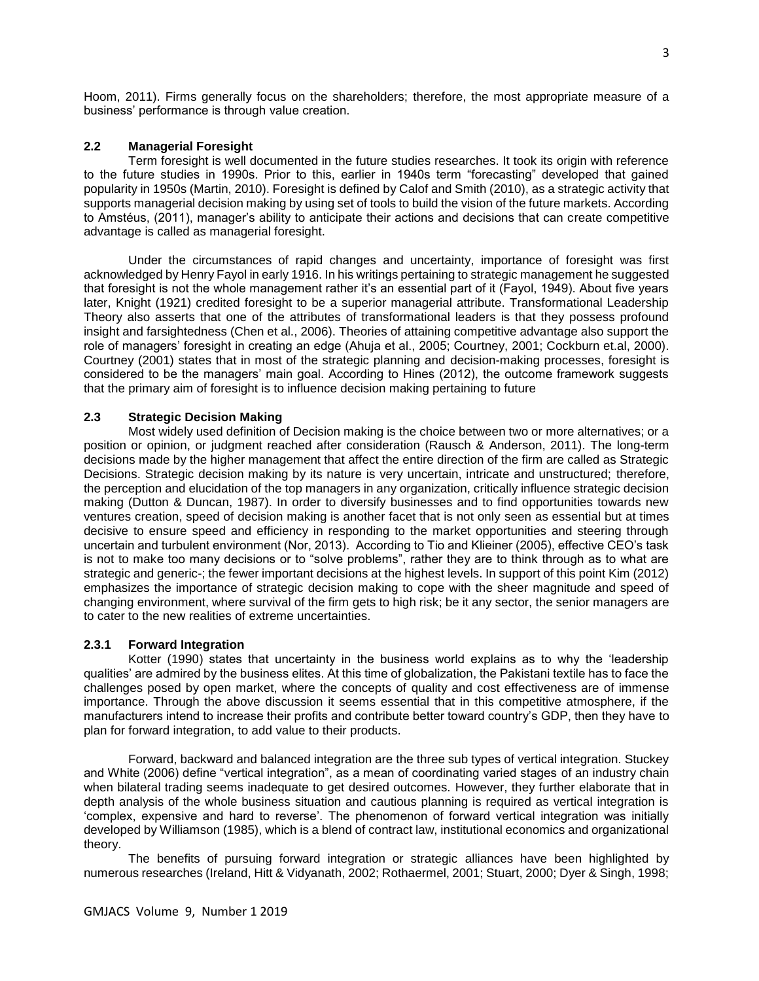Hoom, 2011). Firms generally focus on the shareholders; therefore, the most appropriate measure of a business' performance is through value creation.

# **2.2 Managerial Foresight**

Term foresight is well documented in the future studies researches. It took its origin with reference to the future studies in 1990s. Prior to this, earlier in 1940s term "forecasting" developed that gained popularity in 1950s (Martin, 2010). Foresight is defined by Calof and Smith (2010), as a strategic activity that supports managerial decision making by using set of tools to build the vision of the future markets. According to Amstéus, (2011), manager's ability to anticipate their actions and decisions that can create competitive advantage is called as managerial foresight.

Under the circumstances of rapid changes and uncertainty, importance of foresight was first acknowledged by Henry Fayol in early 1916. In his writings pertaining to strategic management he suggested that foresight is not the whole management rather it's an essential part of it (Fayol, 1949). About five years later, Knight (1921) credited foresight to be a superior managerial attribute. Transformational Leadership Theory also asserts that one of the attributes of transformational leaders is that they possess profound insight and farsightedness (Chen et al., 2006). Theories of attaining competitive advantage also support the role of managers' foresight in creating an edge (Ahuja et al., 2005; Courtney, 2001; Cockburn et.al, 2000). Courtney (2001) states that in most of the strategic planning and decision-making processes, foresight is considered to be the managers' main goal. According to Hines (2012), the outcome framework suggests that the primary aim of foresight is to influence decision making pertaining to future

## **2.3 Strategic Decision Making**

Most widely used definition of Decision making is the choice between two or more alternatives; or a position or opinion, or judgment reached after consideration (Rausch & Anderson, 2011). The long-term decisions made by the higher management that affect the entire direction of the firm are called as Strategic Decisions. Strategic decision making by its nature is very uncertain, intricate and unstructured; therefore, the perception and elucidation of the top managers in any organization, critically influence strategic decision making (Dutton & Duncan, 1987). In order to diversify businesses and to find opportunities towards new ventures creation, speed of decision making is another facet that is not only seen as essential but at times decisive to ensure speed and efficiency in responding to the market opportunities and steering through uncertain and turbulent environment (Nor, 2013). According to Tio and Klieiner (2005), effective CEO's task is not to make too many decisions or to "solve problems", rather they are to think through as to what are strategic and generic-; the fewer important decisions at the highest levels. In support of this point Kim (2012) emphasizes the importance of strategic decision making to cope with the sheer magnitude and speed of changing environment, where survival of the firm gets to high risk; be it any sector, the senior managers are to cater to the new realities of extreme uncertainties.

#### **2.3.1 Forward Integration**

Kotter (1990) states that uncertainty in the business world explains as to why the 'leadership qualities' are admired by the business elites. At this time of globalization, the Pakistani textile has to face the challenges posed by open market, where the concepts of quality and cost effectiveness are of immense importance. Through the above discussion it seems essential that in this competitive atmosphere, if the manufacturers intend to increase their profits and contribute better toward country's GDP, then they have to plan for forward integration, to add value to their products.

Forward, backward and balanced integration are the three sub types of vertical integration. Stuckey and White (2006) define "vertical integration", as a mean of coordinating varied stages of an industry chain when bilateral trading seems inadequate to get desired outcomes. However, they further elaborate that in depth analysis of the whole business situation and cautious planning is required as vertical integration is 'complex, expensive and hard to reverse'. The phenomenon of forward vertical integration was initially developed by Williamson (1985), which is a blend of contract law, institutional economics and organizational theory.

The benefits of pursuing forward integration or strategic alliances have been highlighted by numerous researches (Ireland, Hitt & Vidyanath, 2002; Rothaermel, 2001; Stuart, 2000; Dyer & Singh, 1998;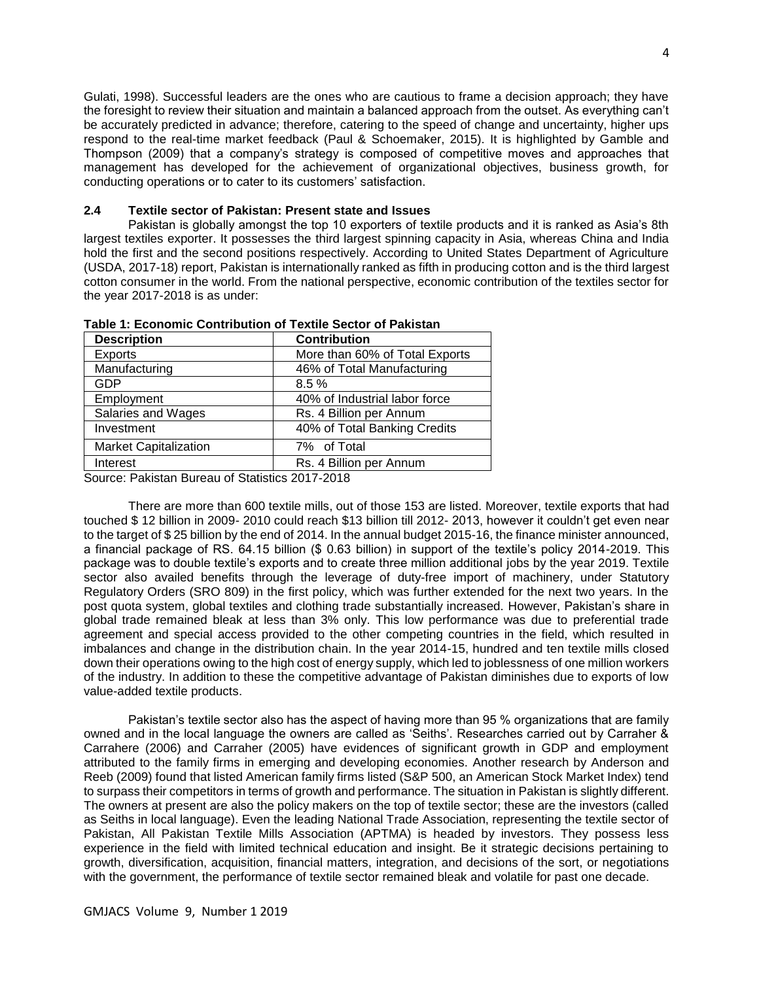Gulati, 1998). Successful leaders are the ones who are cautious to frame a decision approach; they have the foresight to review their situation and maintain a balanced approach from the outset. As everything can't be accurately predicted in advance; therefore, catering to the speed of change and uncertainty, higher ups respond to the real-time market feedback (Paul & Schoemaker, 2015). It is highlighted by Gamble and Thompson (2009) that a company's strategy is composed of competitive moves and approaches that management has developed for the achievement of organizational objectives, business growth, for conducting operations or to cater to its customers' satisfaction.

#### **2.4 Textile sector of Pakistan: Present state and Issues**

Pakistan is globally amongst the top 10 exporters of textile products and it is ranked as Asia's 8th largest textiles exporter. It possesses the third largest spinning capacity in Asia, whereas China and India hold the first and the second positions respectively. According to United States Department of Agriculture (USDA, 2017-18) report, Pakistan is internationally ranked as fifth in producing cotton and is the third largest cotton consumer in the world. From the national perspective, economic contribution of the textiles sector for the year 2017-2018 is as under:

| <b>Description</b>           | <b>Contribution</b>            |
|------------------------------|--------------------------------|
| <b>Exports</b>               | More than 60% of Total Exports |
| Manufacturing                | 46% of Total Manufacturing     |
| GDP                          | 8.5%                           |
| Employment                   | 40% of Industrial labor force  |
| Salaries and Wages           | Rs. 4 Billion per Annum        |
| Investment                   | 40% of Total Banking Credits   |
| <b>Market Capitalization</b> | 7% of Total                    |
| Interest                     | Rs. 4 Billion per Annum        |
| .                            | -- - - - - - -                 |

**Table 1: Economic Contribution of Textile Sector of Pakistan**

Source: Pakistan Bureau of Statistics 2017-2018

 There are more than 600 textile mills, out of those 153 are listed. Moreover, textile exports that had touched \$ 12 billion in 2009- 2010 could reach \$13 billion till 2012- 2013, however it couldn't get even near to the target of \$ 25 billion by the end of 2014. In the annual budget 2015-16, the finance minister announced, a financial package of RS. 64.15 billion (\$ 0.63 billion) in support of the textile's policy 2014-2019. This package was to double textile's exports and to create three million additional jobs by the year 2019. Textile sector also availed benefits through the leverage of duty-free import of machinery, under Statutory Regulatory Orders (SRO 809) in the first policy, which was further extended for the next two years. In the post quota system, global textiles and clothing trade substantially increased. However, Pakistan's share in global trade remained bleak at less than 3% only. This low performance was due to preferential trade agreement and special access provided to the other competing countries in the field, which resulted in imbalances and change in the distribution chain. In the year 2014-15, hundred and ten textile mills closed down their operations owing to the high cost of energy supply, which led to joblessness of one million workers of the industry. In addition to these the competitive advantage of Pakistan diminishes due to exports of low value-added textile products.

Pakistan's textile sector also has the aspect of having more than 95 % organizations that are family owned and in the local language the owners are called as 'Seiths'. Researches carried out by Carraher & Carrahere (2006) and Carraher (2005) have evidences of significant growth in GDP and employment attributed to the family firms in emerging and developing economies. Another research by Anderson and Reeb (2009) found that listed American family firms listed (S&P 500, an American Stock Market Index) tend to surpass their competitors in terms of growth and performance. The situation in Pakistan is slightly different. The owners at present are also the policy makers on the top of textile sector; these are the investors (called as Seiths in local language). Even the leading National Trade Association, representing the textile sector of Pakistan, All Pakistan Textile Mills Association (APTMA) is headed by investors. They possess less experience in the field with limited technical education and insight. Be it strategic decisions pertaining to growth, diversification, acquisition, financial matters, integration, and decisions of the sort, or negotiations with the government, the performance of textile sector remained bleak and volatile for past one decade.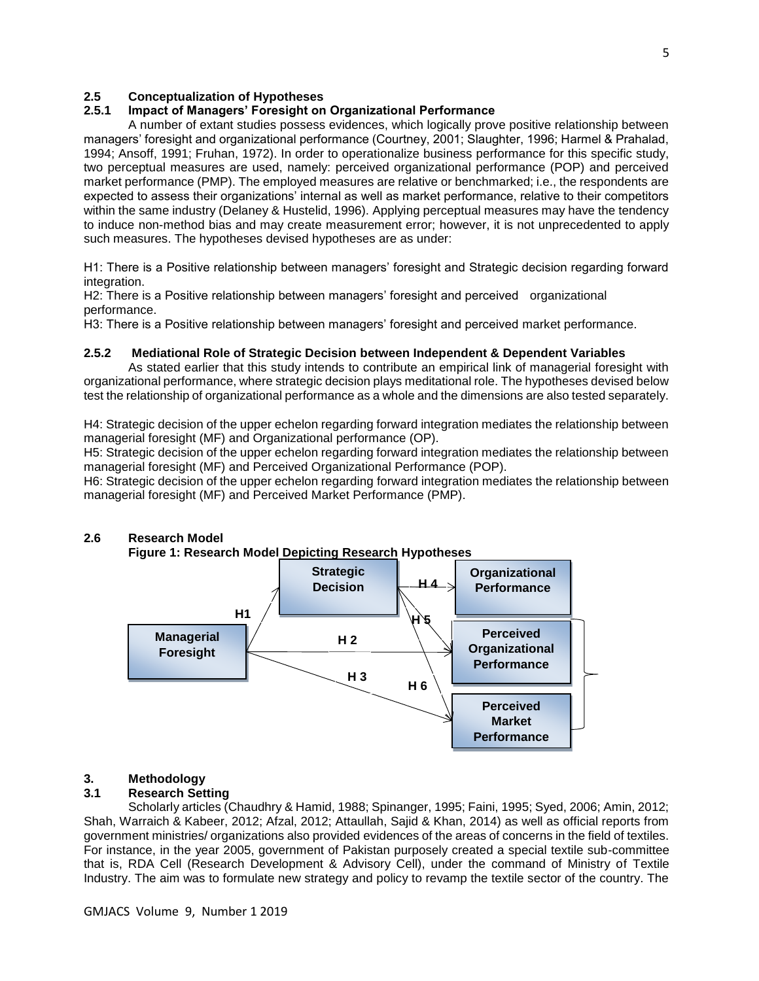# **2.5 Conceptualization of Hypotheses**

### **2.5.1 Impact of Managers' Foresight on Organizational Performance**

A number of extant studies possess evidences, which logically prove positive relationship between managers' foresight and organizational performance (Courtney, 2001; Slaughter, 1996; Harmel & Prahalad, 1994; Ansoff, 1991; Fruhan, 1972). In order to operationalize business performance for this specific study, two perceptual measures are used, namely: perceived organizational performance (POP) and perceived market performance (PMP). The employed measures are relative or benchmarked; i.e., the respondents are expected to assess their organizations' internal as well as market performance, relative to their competitors within the same industry (Delaney & Hustelid, 1996). Applying perceptual measures may have the tendency to induce non-method bias and may create measurement error; however, it is not unprecedented to apply such measures. The hypotheses devised hypotheses are as under:

H1: There is a Positive relationship between managers' foresight and Strategic decision regarding forward integration.

H2: There is a Positive relationship between managers' foresight and perceived organizational performance.

H3: There is a Positive relationship between managers' foresight and perceived market performance.

#### **2.5.2 Mediational Role of Strategic Decision between Independent & Dependent Variables**

As stated earlier that this study intends to contribute an empirical link of managerial foresight with organizational performance, where strategic decision plays meditational role. The hypotheses devised below test the relationship of organizational performance as a whole and the dimensions are also tested separately.

H4: Strategic decision of the upper echelon regarding forward integration mediates the relationship between managerial foresight (MF) and Organizational performance (OP).

H5: Strategic decision of the upper echelon regarding forward integration mediates the relationship between managerial foresight (MF) and Perceived Organizational Performance (POP).

H6: Strategic decision of the upper echelon regarding forward integration mediates the relationship between managerial foresight (MF) and Perceived Market Performance (PMP).



# **2.6 Research Model**

# **3. Methodology**

# **3.1 Research Setting**

Scholarly articles (Chaudhry & Hamid, 1988; Spinanger, 1995; Faini, 1995; Syed, 2006; Amin, 2012; Shah, Warraich & Kabeer, 2012; Afzal, 2012; Attaullah, Sajid & Khan, 2014) as well as official reports from government ministries/ organizations also provided evidences of the areas of concerns in the field of textiles. For instance, in the year 2005, government of Pakistan purposely created a special textile sub-committee that is, RDA Cell (Research Development & Advisory Cell), under the command of Ministry of Textile Industry. The aim was to formulate new strategy and policy to revamp the textile sector of the country. The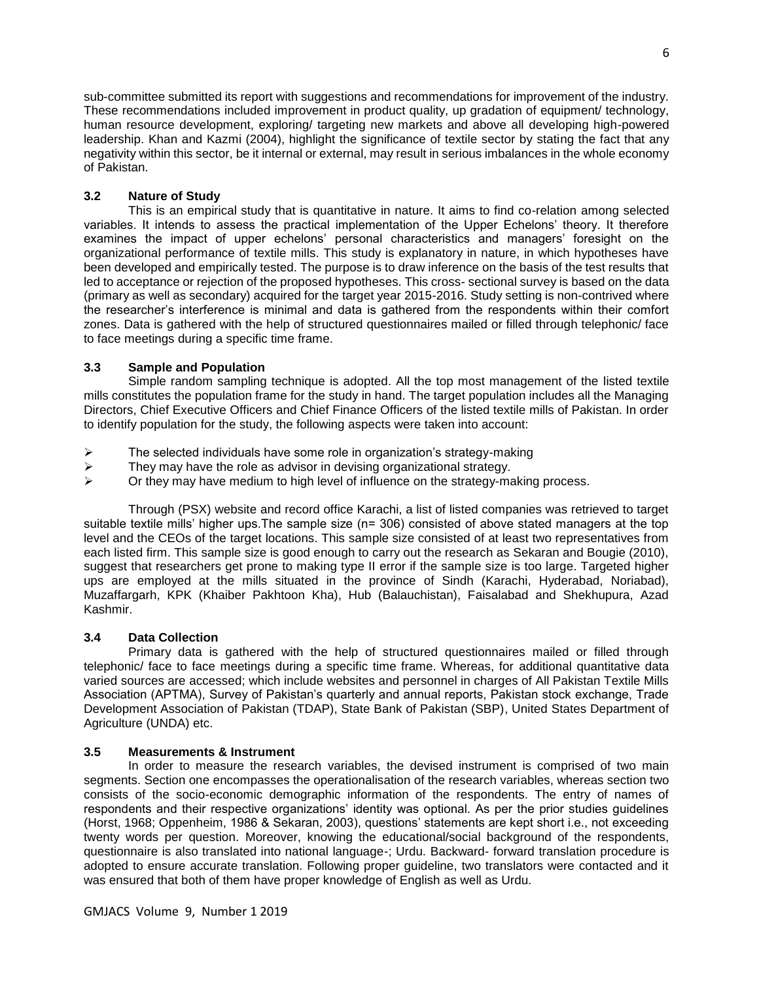sub-committee submitted its report with suggestions and recommendations for improvement of the industry. These recommendations included improvement in product quality, up gradation of equipment/ technology, human resource development, exploring/ targeting new markets and above all developing high-powered leadership. Khan and Kazmi (2004), highlight the significance of textile sector by stating the fact that any negativity within this sector, be it internal or external, may result in serious imbalances in the whole economy of Pakistan.

# **3.2 Nature of Study**

This is an empirical study that is quantitative in nature. It aims to find co-relation among selected variables. It intends to assess the practical implementation of the Upper Echelons' theory. It therefore examines the impact of upper echelons' personal characteristics and managers' foresight on the organizational performance of textile mills. This study is explanatory in nature, in which hypotheses have been developed and empirically tested. The purpose is to draw inference on the basis of the test results that led to acceptance or rejection of the proposed hypotheses. This cross- sectional survey is based on the data (primary as well as secondary) acquired for the target year 2015-2016. Study setting is non-contrived where the researcher's interference is minimal and data is gathered from the respondents within their comfort zones. Data is gathered with the help of structured questionnaires mailed or filled through telephonic/ face to face meetings during a specific time frame.

# **3.3 Sample and Population**

Simple random sampling technique is adopted. All the top most management of the listed textile mills constitutes the population frame for the study in hand. The target population includes all the Managing Directors, Chief Executive Officers and Chief Finance Officers of the listed textile mills of Pakistan. In order to identify population for the study, the following aspects were taken into account:

- $\triangleright$  The selected individuals have some role in organization's strategy-making
- $\triangleright$  They may have the role as advisor in devising organizational strategy.<br> $\triangleright$  Or they may have medium to bigh level of influence on the strategy-may
- ➢ Or they may have medium to high level of influence on the strategy-making process.

Through (PSX) website and record office Karachi, a list of listed companies was retrieved to target suitable textile mills' higher ups. The sample size (n= 306) consisted of above stated managers at the top level and the CEOs of the target locations. This sample size consisted of at least two representatives from each listed firm. This sample size is good enough to carry out the research as Sekaran and Bougie (2010), suggest that researchers get prone to making type II error if the sample size is too large. Targeted higher ups are employed at the mills situated in the province of Sindh (Karachi, Hyderabad, Noriabad), Muzaffargarh, KPK (Khaiber Pakhtoon Kha), Hub (Balauchistan), Faisalabad and Shekhupura, Azad Kashmir.

# **3.4 Data Collection**

Primary data is gathered with the help of structured questionnaires mailed or filled through telephonic/ face to face meetings during a specific time frame. Whereas, for additional quantitative data varied sources are accessed; which include websites and personnel in charges of All Pakistan Textile Mills Association (APTMA), Survey of Pakistan's quarterly and annual reports, Pakistan stock exchange, Trade Development Association of Pakistan (TDAP), State Bank of Pakistan (SBP), United States Department of Agriculture (UNDA) etc.

# **3.5 Measurements & Instrument**

In order to measure the research variables, the devised instrument is comprised of two main segments. Section one encompasses the operationalisation of the research variables, whereas section two consists of the socio-economic demographic information of the respondents. The entry of names of respondents and their respective organizations' identity was optional. As per the prior studies guidelines (Horst, 1968; Oppenheim, 1986 & Sekaran, 2003), questions' statements are kept short i.e., not exceeding twenty words per question. Moreover, knowing the educational/social background of the respondents, questionnaire is also translated into national language-; Urdu. Backward- forward translation procedure is adopted to ensure accurate translation. Following proper guideline, two translators were contacted and it was ensured that both of them have proper knowledge of English as well as Urdu.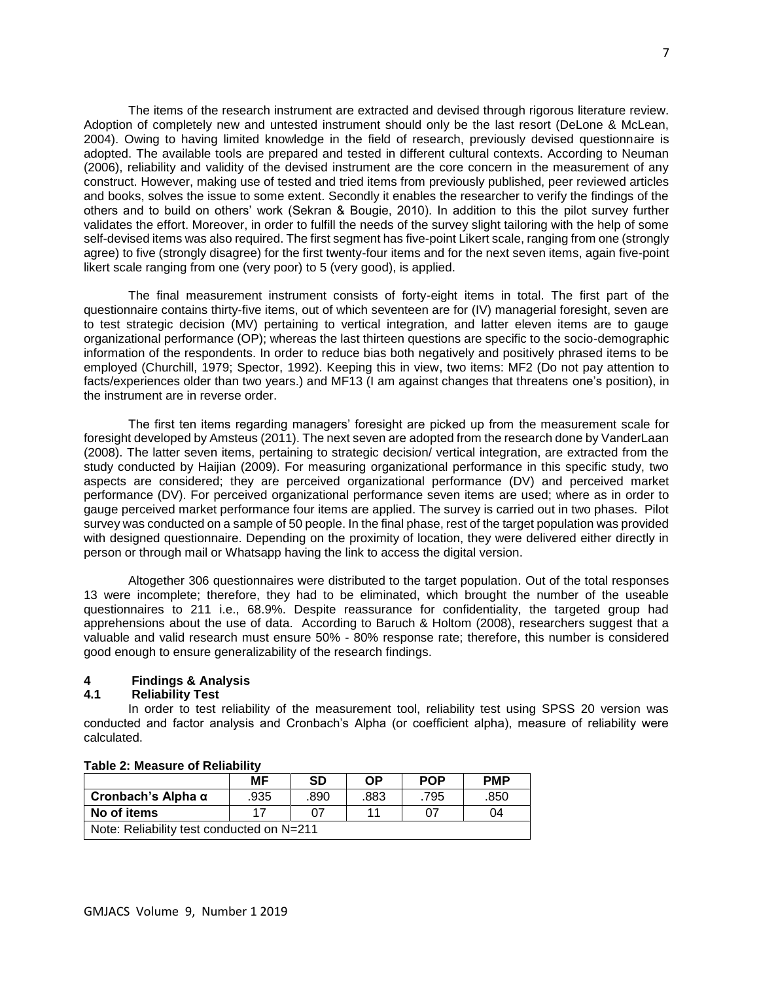The items of the research instrument are extracted and devised through rigorous literature review. Adoption of completely new and untested instrument should only be the last resort (DeLone & McLean, 2004). Owing to having limited knowledge in the field of research, previously devised questionnaire is adopted. The available tools are prepared and tested in different cultural contexts. According to Neuman (2006), reliability and validity of the devised instrument are the core concern in the measurement of any construct. However, making use of tested and tried items from previously published, peer reviewed articles and books, solves the issue to some extent. Secondly it enables the researcher to verify the findings of the others and to build on others' work (Sekran & Bougie, 2010). In addition to this the pilot survey further validates the effort. Moreover, in order to fulfill the needs of the survey slight tailoring with the help of some self-devised items was also required. The first segment has five-point Likert scale, ranging from one (strongly agree) to five (strongly disagree) for the first twenty-four items and for the next seven items, again five-point likert scale ranging from one (very poor) to 5 (very good), is applied.

The final measurement instrument consists of forty-eight items in total. The first part of the questionnaire contains thirty-five items, out of which seventeen are for (IV) managerial foresight, seven are to test strategic decision (MV) pertaining to vertical integration, and latter eleven items are to gauge organizational performance (OP); whereas the last thirteen questions are specific to the socio-demographic information of the respondents. In order to reduce bias both negatively and positively phrased items to be employed (Churchill, 1979; Spector, 1992). Keeping this in view, two items: MF2 (Do not pay attention to facts/experiences older than two years.) and MF13 (I am against changes that threatens one's position), in the instrument are in reverse order.

The first ten items regarding managers' foresight are picked up from the measurement scale for foresight developed by Amsteus (2011). The next seven are adopted from the research done by VanderLaan (2008). The latter seven items, pertaining to strategic decision/ vertical integration, are extracted from the study conducted by Haijian (2009). For measuring organizational performance in this specific study, two aspects are considered; they are perceived organizational performance (DV) and perceived market performance (DV). For perceived organizational performance seven items are used; where as in order to gauge perceived market performance four items are applied. The survey is carried out in two phases. Pilot survey was conducted on a sample of 50 people. In the final phase, rest of the target population was provided with designed questionnaire. Depending on the proximity of location, they were delivered either directly in person or through mail or Whatsapp having the link to access the digital version.

Altogether 306 questionnaires were distributed to the target population. Out of the total responses 13 were incomplete; therefore, they had to be eliminated, which brought the number of the useable questionnaires to 211 i.e., 68.9%. Despite reassurance for confidentiality, the targeted group had apprehensions about the use of data. According to Baruch & Holtom (2008), researchers suggest that a valuable and valid research must ensure 50% - 80% response rate; therefore, this number is considered good enough to ensure generalizability of the research findings.

# **4 Findings & Analysis**

#### **4.1 Reliability Test**

In order to test reliability of the measurement tool, reliability test using SPSS 20 version was conducted and factor analysis and Cronbach's Alpha (or coefficient alpha), measure of reliability were calculated.

|                                           | МF   | <b>SD</b> | ΟP   | <b>POP</b> | <b>PMP</b> |  |
|-------------------------------------------|------|-----------|------|------------|------------|--|
| Cronbach's Alpha $\alpha$                 | .935 | .890      | .883 | .795       | .850       |  |
| No of items<br>11<br>17<br>07<br>04       |      |           |      |            |            |  |
| Note: Reliability test conducted on N=211 |      |           |      |            |            |  |

#### **Table 2: Measure of Reliability**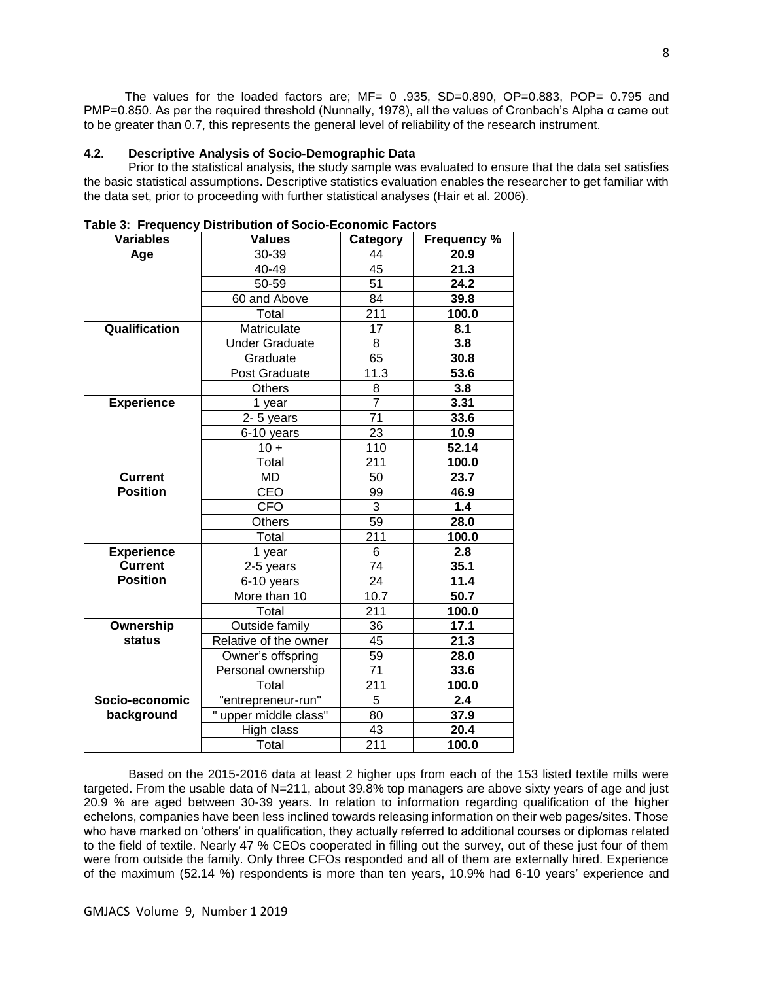The values for the loaded factors are;  $MF = 0.935$ ,  $SD=0.890$ ,  $OP=0.883$ ,  $POP= 0.795$  and PMP=0.850. As per the required threshold (Nunnally, 1978), all the values of Cronbach's Alpha α came out to be greater than 0.7, this represents the general level of reliability of the research instrument.

#### **4.2. Descriptive Analysis of Socio-Demographic Data**

Prior to the statistical analysis, the study sample was evaluated to ensure that the data set satisfies the basic statistical assumptions. Descriptive statistics evaluation enables the researcher to get familiar with the data set, prior to proceeding with further statistical analyses (Hair et al. 2006).

| <b>Variables</b>  | <b>Values</b>         | <b>Category</b> | <b>Frequency %</b> |  |
|-------------------|-----------------------|-----------------|--------------------|--|
| Age               | 30-39                 | 44              | 20.9               |  |
|                   | 40-49                 | 45              | 21.3               |  |
|                   | 50-59                 | 51              | 24.2               |  |
|                   | 60 and Above          | 84              | 39.8               |  |
|                   | Total                 | 211             | 100.0              |  |
| Qualification     | Matriculate           | 17              | 8.1                |  |
|                   | <b>Under Graduate</b> | 8               | 3.8                |  |
|                   | Graduate              | 65              | 30.8               |  |
|                   | Post Graduate         | 11.3            | 53.6               |  |
|                   | <b>Others</b>         | 8               | 3.8                |  |
| <b>Experience</b> | 1 year                | $\overline{7}$  | 3.31               |  |
|                   | $2 - 5$ years         | $\overline{71}$ | 33.6               |  |
|                   | 6-10 years            | 23              | 10.9               |  |
|                   | $10 +$                | 110             | 52.14              |  |
|                   | Total                 | 211             | 100.0              |  |
| <b>Current</b>    | MD                    | 50              | 23.7               |  |
| <b>Position</b>   | CEO                   | 99              | 46.9               |  |
|                   | <b>CFO</b>            | 3               | 1.4                |  |
|                   | Others                | 59              | 28.0               |  |
|                   | Total                 | 211             | 100.0              |  |
| <b>Experience</b> | 1 year                | 6               | 2.8                |  |
| <b>Current</b>    | 2-5 years             | 74              | 35.1               |  |
| <b>Position</b>   | 6-10 years            | 24              | 11.4               |  |
|                   | More than 10          | 10.7            | 50.7               |  |
|                   | Total                 | 211             | 100.0              |  |
| Ownership         | Outside family        | 36              | 17.1               |  |
| <b>status</b>     | Relative of the owner | 45              | 21.3               |  |
|                   | Owner's offspring     | 59              | 28.0               |  |
|                   | Personal ownership    | 71              | 33.6               |  |
|                   | Total                 | 211             | 100.0              |  |
| Socio-economic    | "entrepreneur-run"    | 5<br>2.4        |                    |  |
| background        | upper middle class"   | 80<br>37.9      |                    |  |
|                   | High class            | 43              | 20.4               |  |
|                   | Total                 | 211             | 100.0              |  |

**Table 3: Frequency Distribution of Socio-Economic Factors**

 Based on the 2015-2016 data at least 2 higher ups from each of the 153 listed textile mills were targeted. From the usable data of N=211, about 39.8% top managers are above sixty years of age and just 20.9 % are aged between 30-39 years. In relation to information regarding qualification of the higher echelons, companies have been less inclined towards releasing information on their web pages/sites. Those who have marked on 'others' in qualification, they actually referred to additional courses or diplomas related to the field of textile. Nearly 47 % CEOs cooperated in filling out the survey, out of these just four of them were from outside the family. Only three CFOs responded and all of them are externally hired. Experience of the maximum (52.14 %) respondents is more than ten years, 10.9% had 6-10 years' experience and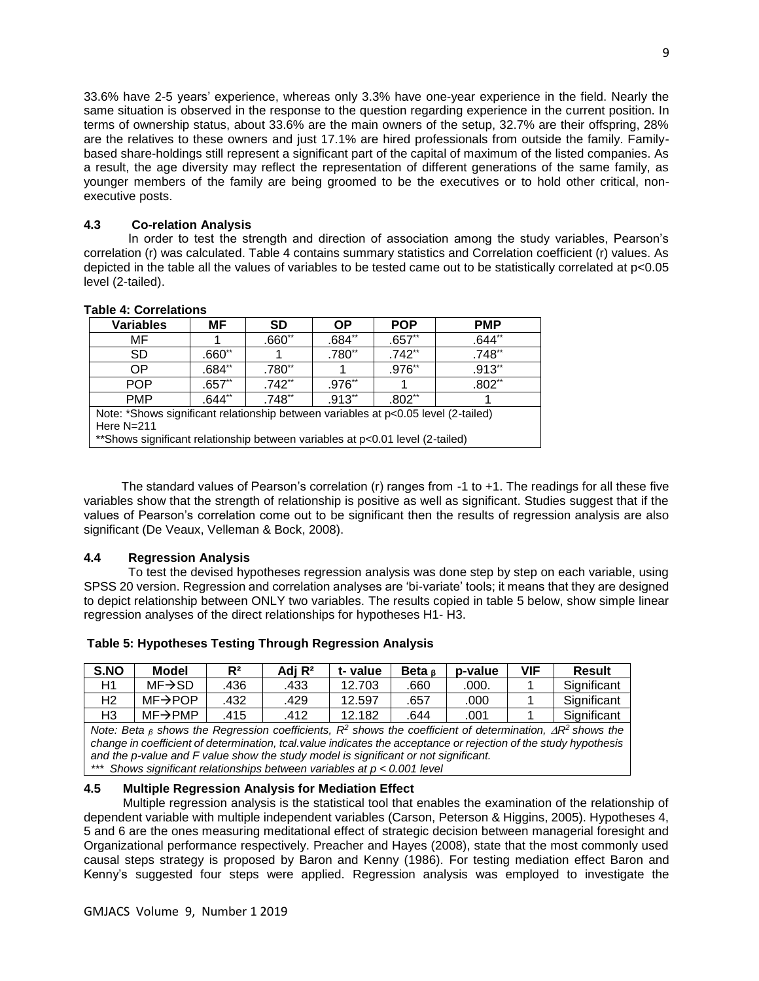33.6% have 2-5 years' experience, whereas only 3.3% have one-year experience in the field. Nearly the same situation is observed in the response to the question regarding experience in the current position. In terms of ownership status, about 33.6% are the main owners of the setup, 32.7% are their offspring, 28% are the relatives to these owners and just 17.1% are hired professionals from outside the family. Familybased share-holdings still represent a significant part of the capital of maximum of the listed companies. As a result, the age diversity may reflect the representation of different generations of the same family, as younger members of the family are being groomed to be the executives or to hold other critical, nonexecutive posts.

# **4.3 Co-relation Analysis**

In order to test the strength and direction of association among the study variables, Pearson's correlation (r) was calculated. Table 4 contains summary statistics and Correlation coefficient (r) values. As depicted in the table all the values of variables to be tested came out to be statistically correlated at p<0.05 level (2-tailed).

## **Table 4: Correlations**

| <b>Variables</b>                                                                                                                                                                    | MF.      | <b>SD</b> | <b>OP</b> | <b>POP</b> | <b>PMP</b>           |  |
|-------------------------------------------------------------------------------------------------------------------------------------------------------------------------------------|----------|-----------|-----------|------------|----------------------|--|
| MF                                                                                                                                                                                  |          | $.660**$  | $.684**$  | $.657**$   | $.644**$             |  |
| <b>SD</b>                                                                                                                                                                           | $.660**$ |           | .780**    | $.742**$   | $.748**$             |  |
| ОP                                                                                                                                                                                  | $.684**$ | .780**    |           | .976**     | $.913$ <sup>**</sup> |  |
| <b>POP</b>                                                                                                                                                                          | $.657**$ | $.742**$  | $.976**$  |            | $.802**$             |  |
| <b>PMP</b>                                                                                                                                                                          | $.644**$ | $.748**$  | $.913**$  | $.802**$   |                      |  |
| Note: *Shows significant relationship between variables at p<0.05 level (2-tailed)<br>Here $N=211$<br>**Shows significant relationship between variables at p<0.01 level (2-tailed) |          |           |           |            |                      |  |

 The standard values of Pearson's correlation (r) ranges from -1 to +1. The readings for all these five variables show that the strength of relationship is positive as well as significant. Studies suggest that if the values of Pearson's correlation come out to be significant then the results of regression analysis are also significant (De Veaux, Velleman & Bock, 2008).

# **4.4 Regression Analysis**

To test the devised hypotheses regression analysis was done step by step on each variable, using SPSS 20 version. Regression and correlation analyses are 'bi-variate' tools; it means that they are designed to depict relationship between ONLY two variables. The results copied in table 5 below, show simple linear regression analyses of the direct relationships for hypotheses H1- H3.

| S.NO                                                                                                                                     | Model                | $R^2$ | Adj R <sup>2</sup> | t-value | Beta $\alpha$ | p-value | <b>VIF</b> | <b>Result</b> |
|------------------------------------------------------------------------------------------------------------------------------------------|----------------------|-------|--------------------|---------|---------------|---------|------------|---------------|
| H1                                                                                                                                       | $MF \rightarrow SD$  | .436  | .433               | 12.703  | .660          | .000.   |            | Significant   |
| H2                                                                                                                                       | $MF \rightarrow POP$ | .432  | .429               | 12.597  | .657          | .000    |            | Significant   |
| H3                                                                                                                                       | $MF\rightarrow PMP$  | .415  | .412               | 12.182  | .644          | .001    |            | Significant   |
| Note: Beta <sub>6</sub> shows the Regression coefficients, R <sup>2</sup> shows the coefficient of determination, $\Delta R^2$ shows the |                      |       |                    |         |               |         |            |               |
| change in coefficient of determination, tcal value indicates the acceptance or rejection of the study hypothesis                         |                      |       |                    |         |               |         |            |               |
| and the p-value and F value show the study model is significant or not significant.                                                      |                      |       |                    |         |               |         |            |               |

#### **Table 5: Hypotheses Testing Through Regression Analysis**

*\*\*\* Shows significant relationships between variables at p < 0.001 level* 

# **4.5 Multiple Regression Analysis for Mediation Effect**

Multiple regression analysis is the statistical tool that enables the examination of the relationship of dependent variable with multiple independent variables (Carson, Peterson & Higgins, 2005). Hypotheses 4, 5 and 6 are the ones measuring meditational effect of strategic decision between managerial foresight and Organizational performance respectively. Preacher and Hayes (2008), state that the most commonly used causal steps strategy is proposed by Baron and Kenny (1986). For testing mediation effect Baron and Kenny's suggested four steps were applied. Regression analysis was employed to investigate the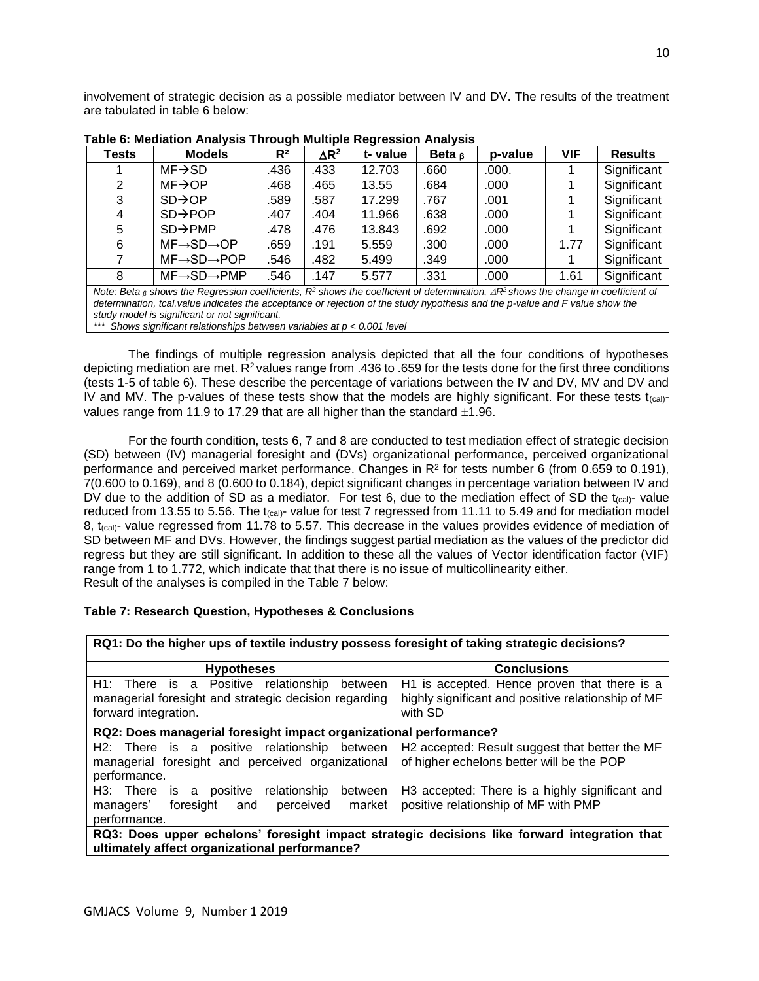involvement of strategic decision as a possible mediator between IV and DV. The results of the treatment are tabulated in table 6 below:

| <b>Tests</b> | <b>Models</b>                                                                                                                                                                                                                                                              | R <sup>2</sup> | $\Delta$ R <sup>2</sup> | t-value | Beta $\beta$ | p-value | <b>VIF</b> | <b>Results</b> |
|--------------|----------------------------------------------------------------------------------------------------------------------------------------------------------------------------------------------------------------------------------------------------------------------------|----------------|-------------------------|---------|--------------|---------|------------|----------------|
|              | $MF \rightarrow SD$                                                                                                                                                                                                                                                        | .436           | .433                    | 12.703  | .660         | .000.   |            | Significant    |
|              | $MF \rightarrow OP$                                                                                                                                                                                                                                                        | .468           | .465                    | 13.55   | .684         | .000    |            | Significant    |
| 3            | $SD \rightarrow OP$                                                                                                                                                                                                                                                        | .589           | .587                    | 17.299  | .767         | .001    |            | Significant    |
| 4            | $SD \rightarrow POP$                                                                                                                                                                                                                                                       | .407           | .404                    | 11.966  | .638         | .000    |            | Significant    |
| 5            | $SD \rightarrow PMP$                                                                                                                                                                                                                                                       | .478           | .476                    | 13.843  | .692         | .000    |            | Significant    |
| 6            | $MF\rightarrow SD\rightarrow OP$                                                                                                                                                                                                                                           | .659           | .191                    | 5.559   | .300         | .000    | 1.77       | Significant    |
|              | $MF \rightarrow SD \rightarrow POP$                                                                                                                                                                                                                                        | .546           | .482                    | 5.499   | .349         | .000    |            | Significant    |
| 8            | $MF \rightarrow SD \rightarrow PMP$                                                                                                                                                                                                                                        | .546           | .147                    | 5.577   | .331         | .000    | 1.61       | Significant    |
|              | Note: Beta <sub>8</sub> shows the Regression coefficients, $R^2$ shows the coefficient of determination, $\Delta R^2$ shows the change in coefficient of<br>determined the feedback of the feedback and constructed of the characteristic contribution and model of the ch |                |                         |         |              |         |            |                |

**Table 6: Mediation Analysis Through Multiple Regression Analysis**

*determination, tcal.value indicates the acceptance or rejection of the study hypothesis and the p-value and F value show the study model is significant or not significant.*

*\*\*\* Shows significant relationships between variables at p < 0.001 level* 

The findings of multiple regression analysis depicted that all the four conditions of hypotheses depicting mediation are met. R<sup>2</sup> values range from .436 to .659 for the tests done for the first three conditions (tests 1-5 of table 6). These describe the percentage of variations between the IV and DV, MV and DV and IV and MV. The p-values of these tests show that the models are highly significant. For these tests  $t_{\text{(cal)}}$ values range from 11.9 to 17.29 that are all higher than the standard  $\pm 1.96$ .

For the fourth condition, tests 6, 7 and 8 are conducted to test mediation effect of strategic decision (SD) between (IV) managerial foresight and (DVs) organizational performance, perceived organizational performance and perceived market performance. Changes in  $R^2$  for tests number 6 (from 0.659 to 0.191), 7(0.600 to 0.169), and 8 (0.600 to 0.184), depict significant changes in percentage variation between IV and DV due to the addition of SD as a mediator. For test 6, due to the mediation effect of SD the  $t_{\text{(cal)}}$ - value reduced from 13.55 to 5.56. The t<sub>(cal)</sub>- value for test 7 regressed from 11.11 to 5.49 and for mediation model 8, t<sub>(cal)</sub>- value regressed from 11.78 to 5.57. This decrease in the values provides evidence of mediation of SD between MF and DVs. However, the findings suggest partial mediation as the values of the predictor did regress but they are still significant. In addition to these all the values of Vector identification factor (VIF) range from 1 to 1.772, which indicate that that there is no issue of multicollinearity either. Result of the analyses is compiled in the Table 7 below:

# **Table 7: Research Question, Hypotheses & Conclusions**

| RQ1: Do the higher ups of textile industry possess foresight of taking strategic decisions?                                                   |                                                                                                               |  |  |  |  |  |
|-----------------------------------------------------------------------------------------------------------------------------------------------|---------------------------------------------------------------------------------------------------------------|--|--|--|--|--|
| <b>Hypotheses</b>                                                                                                                             | <b>Conclusions</b>                                                                                            |  |  |  |  |  |
| H1: There is a Positive relationship<br>between<br>managerial foresight and strategic decision regarding<br>forward integration.              | H1 is accepted. Hence proven that there is a<br>highly significant and positive relationship of MF<br>with SD |  |  |  |  |  |
| RQ2: Does managerial foresight impact organizational performance?                                                                             |                                                                                                               |  |  |  |  |  |
| H2: There is a positive relationship between<br>managerial foresight and perceived organizational<br>performance.                             | H2 accepted: Result suggest that better the MF<br>of higher echelons better will be the POP                   |  |  |  |  |  |
| H3: There is a positive relationship<br>between<br>market<br>perceived<br>foresight<br>managers'<br>and<br>performance.                       | H3 accepted: There is a highly significant and<br>positive relationship of MF with PMP                        |  |  |  |  |  |
| RQ3: Does upper echelons' foresight impact strategic decisions like forward integration that<br>ultimately affect organizational performance? |                                                                                                               |  |  |  |  |  |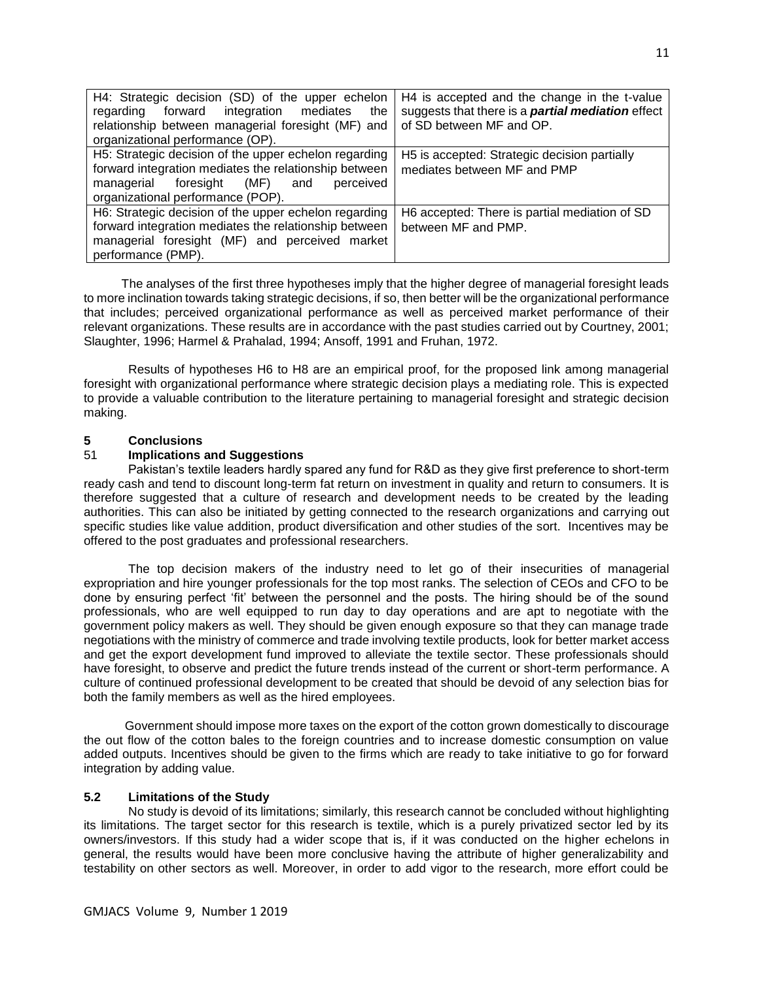| H4: Strategic decision (SD) of the upper echelon      | H4 is accepted and the change in the t-value             |
|-------------------------------------------------------|----------------------------------------------------------|
| regarding forward integration mediates<br>the         | suggests that there is a <b>partial mediation</b> effect |
| relationship between managerial foresight (MF) and    | of SD between MF and OP.                                 |
| organizational performance (OP).                      |                                                          |
| H5: Strategic decision of the upper echelon regarding | H5 is accepted: Strategic decision partially             |
| forward integration mediates the relationship between | mediates between MF and PMP                              |
| managerial foresight (MF) and<br>perceived            |                                                          |
| organizational performance (POP).                     |                                                          |
| H6: Strategic decision of the upper echelon regarding | H6 accepted: There is partial mediation of SD            |
| forward integration mediates the relationship between | between MF and PMP.                                      |
| managerial foresight (MF) and perceived market        |                                                          |
| performance (PMP).                                    |                                                          |

 The analyses of the first three hypotheses imply that the higher degree of managerial foresight leads to more inclination towards taking strategic decisions, if so, then better will be the organizational performance that includes; perceived organizational performance as well as perceived market performance of their relevant organizations. These results are in accordance with the past studies carried out by Courtney, 2001; Slaughter, 1996; Harmel & Prahalad, 1994; Ansoff, 1991 and Fruhan, 1972.

Results of hypotheses H6 to H8 are an empirical proof, for the proposed link among managerial foresight with organizational performance where strategic decision plays a mediating role. This is expected to provide a valuable contribution to the literature pertaining to managerial foresight and strategic decision making.

# **5 Conclusions**

## 51 **Implications and Suggestions**

Pakistan's textile leaders hardly spared any fund for R&D as they give first preference to short-term ready cash and tend to discount long-term fat return on investment in quality and return to consumers. It is therefore suggested that a culture of research and development needs to be created by the leading authorities. This can also be initiated by getting connected to the research organizations and carrying out specific studies like value addition, product diversification and other studies of the sort. Incentives may be offered to the post graduates and professional researchers.

The top decision makers of the industry need to let go of their insecurities of managerial expropriation and hire younger professionals for the top most ranks. The selection of CEOs and CFO to be done by ensuring perfect 'fit' between the personnel and the posts. The hiring should be of the sound professionals, who are well equipped to run day to day operations and are apt to negotiate with the government policy makers as well. They should be given enough exposure so that they can manage trade negotiations with the ministry of commerce and trade involving textile products, look for better market access and get the export development fund improved to alleviate the textile sector. These professionals should have foresight, to observe and predict the future trends instead of the current or short-term performance. A culture of continued professional development to be created that should be devoid of any selection bias for both the family members as well as the hired employees.

 Government should impose more taxes on the export of the cotton grown domestically to discourage the out flow of the cotton bales to the foreign countries and to increase domestic consumption on value added outputs. Incentives should be given to the firms which are ready to take initiative to go for forward integration by adding value.

# **5.2 Limitations of the Study**

No study is devoid of its limitations; similarly, this research cannot be concluded without highlighting its limitations. The target sector for this research is textile, which is a purely privatized sector led by its owners/investors. If this study had a wider scope that is, if it was conducted on the higher echelons in general, the results would have been more conclusive having the attribute of higher generalizability and testability on other sectors as well. Moreover, in order to add vigor to the research, more effort could be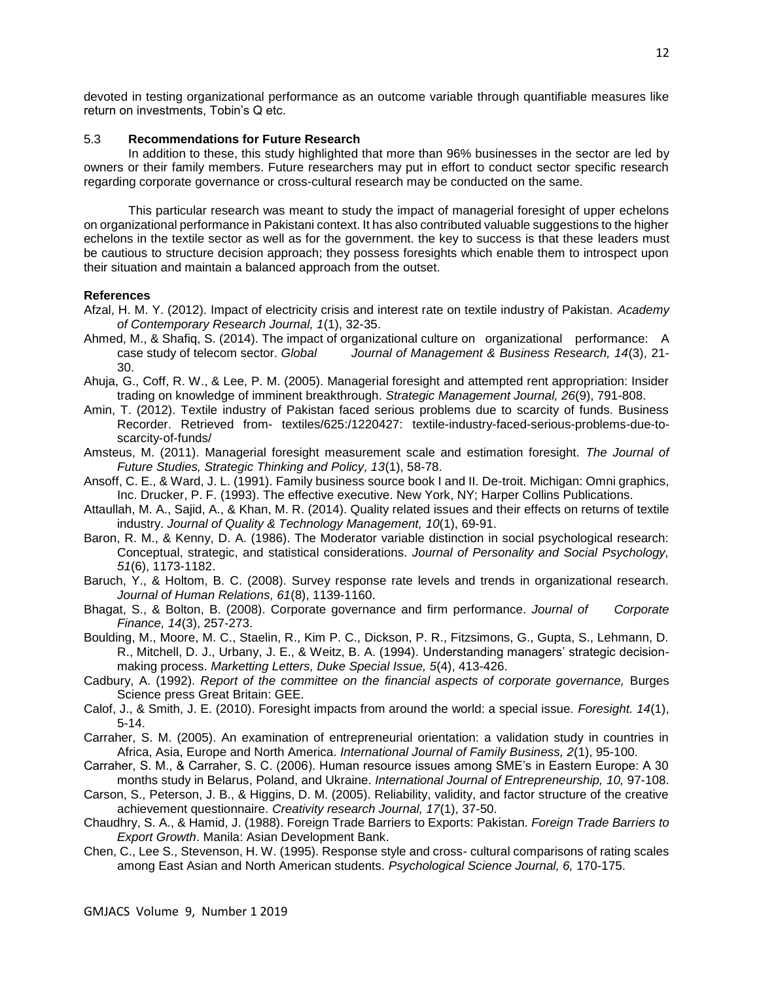devoted in testing organizational performance as an outcome variable through quantifiable measures like return on investments, Tobin's Q etc.

# 5.3 **Recommendations for Future Research**

In addition to these, this study highlighted that more than 96% businesses in the sector are led by owners or their family members. Future researchers may put in effort to conduct sector specific research regarding corporate governance or cross-cultural research may be conducted on the same.

 This particular research was meant to study the impact of managerial foresight of upper echelons on organizational performance in Pakistani context. It has also contributed valuable suggestions to the higher echelons in the textile sector as well as for the government. the key to success is that these leaders must be cautious to structure decision approach; they possess foresights which enable them to introspect upon their situation and maintain a balanced approach from the outset.

## **References**

- Afzal, H. M. Y. (2012). Impact of electricity crisis and interest rate on textile industry of Pakistan. *Academy of Contemporary Research Journal, 1*(1), 32-35.
- Ahmed, M., & Shafiq, S. (2014). The impact of organizational culture on organizational performance: A case study of telecom sector. *Global Journal of Management & Business Research, 14*(3), 21- 30.
- Ahuja, G., Coff, R. W., & Lee, P. M. (2005). Managerial foresight and attempted rent appropriation: Insider trading on knowledge of imminent breakthrough. *Strategic Management Journal, 26*(9), 791-808.
- Amin, T. (2012). Textile industry of Pakistan faced serious problems due to scarcity of funds. Business Recorder. Retrieved from- textiles/625:/1220427: textile-industry-faced-serious-problems-due-toscarcity-of-funds/
- Amsteus, M. (2011). Managerial foresight measurement scale and estimation foresight*. The Journal of Future Studies, Strategic Thinking and Policy, 13*(1), 58-78.
- Ansoff, C. E., & Ward, J. L. (1991). Family business source book I and II. De-troit. Michigan: Omni graphics, Inc. Drucker, P. F. (1993). The effective executive. New York, NY; Harper Collins Publications.
- Attaullah, M. A., Sajid, A., & Khan, M. R. (2014). Quality related issues and their effects on returns of textile industry. *Journal of Quality & Technology Management, 10*(1), 69-91.
- Baron, R. M., & Kenny, D. A. (1986). The Moderator variable distinction in social psychological research: Conceptual, strategic, and statistical considerations. *Journal of Personality and Social Psychology, 51*(6), 1173-1182.
- Baruch, Y., & Holtom, B. C. (2008). Survey response rate levels and trends in organizational research. *Journal of Human Relations, 61*(8), 1139-1160.
- Bhagat, S., & Bolton, B. (2008). Corporate governance and firm performance. *Journal of Corporate Finance, 14*(3), 257-273.
- Boulding, M., Moore, M. C., Staelin, R., Kim P. C., Dickson, P. R., Fitzsimons, G., Gupta, S., Lehmann, D. R., Mitchell, D. J., Urbany, J. E., & Weitz, B. A. (1994). Understanding managers' strategic decisionmaking process. *Marketting Letters, Duke Special Issue, 5*(4), 413-426.
- Cadbury, A. (1992). *Report of the committee on the financial aspects of corporate governance,* Burges Science press Great Britain: GEE.
- Calof, J., & Smith, J. E. (2010). Foresight impacts from around the world: a special issue. *Foresight. 14*(1), 5-14.
- Carraher, S. M. (2005). An examination of entrepreneurial orientation: a validation study in countries in Africa, Asia, Europe and North America. *International Journal of Family Business, 2*(1), 95-100.
- Carraher, S. M., & Carraher, S. C. (2006). Human resource issues among SME's in Eastern Europe: A 30 months study in Belarus, Poland, and Ukraine. *International Journal of Entrepreneurship, 10,* 97-108.
- Carson, S., Peterson, J. B., & Higgins, D. M. (2005). Reliability, validity, and factor structure of the creative achievement questionnaire. *Creativity research Journal, 17*(1), 37-50.
- Chaudhry, S. A., & Hamid, J. (1988). Foreign Trade Barriers to Exports: Pakistan. *Foreign Trade Barriers to Export Growth*. Manila: Asian Development Bank.
- Chen, C., Lee S., Stevenson, H. W. (1995). Response style and cross- cultural comparisons of rating scales among East Asian and North American students. *Psychological Science Journal, 6,* 170-175.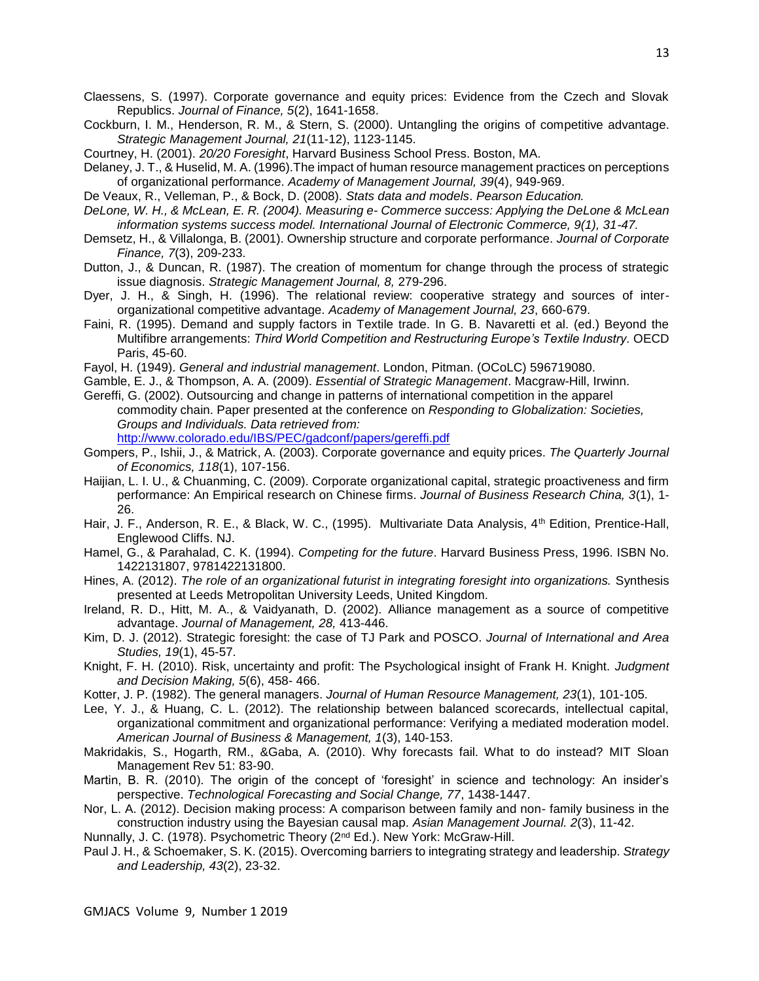- Cockburn, I. M., Henderson, R. M., & Stern, S. (2000). Untangling the origins of competitive advantage. *Strategic Management Journal, 21*(11-12), 1123-1145.
- Courtney, H. (2001). *20/20 Foresight*, Harvard Business School Press. Boston, MA.
- Delaney, J. T., & Huselid, M. A. (1996).The impact of human resource management practices on perceptions of organizational performance. *Academy of Management Journal, 39*(4), 949-969.
- De Veaux, R., Velleman, P., & Bock, D. (2008). *Stats data and models*. *Pearson Education.*
- *DeLone, W. H., & McLean, E. R. (2004). Measuring e- Commerce success: Applying the DeLone & McLean information systems success model. International Journal of Electronic Commerce, 9(1), 31-47.*
- Demsetz, H., & Villalonga, B. (2001). Ownership structure and corporate performance. *Journal of Corporate Finance, 7*(3), 209-233.
- Dutton, J., & Duncan, R. (1987). The creation of momentum for change through the process of strategic issue diagnosis. *Strategic Management Journal, 8,* 279-296.
- Dyer, J. H., & Singh, H. (1996). The relational review: cooperative strategy and sources of interorganizational competitive advantage. *Academy of Management Journal, 23*, 660-679.
- Faini, R. (1995). Demand and supply factors in Textile trade. In G. B. Navaretti et al. (ed.) Beyond the Multifibre arrangements: *Third World Competition and Restructuring Europe's Textile Industry.* OECD Paris, 45-60.
- Fayol, H. (1949). *General and industrial management*. London, Pitman. (OCoLC) 596719080.
- Gamble, E. J., & Thompson, A. A. (2009). *Essential of Strategic Management*. Macgraw-Hill, Irwinn.
- Gereffi, G. (2002). Outsourcing and change in patterns of international competition in the apparel commodity chain. Paper presented at the conference on *Responding to Globalization: Societies, Groups and Individuals. Data retrieved from:*  <http://www.colorado.edu/IBS/PEC/gadconf/papers/gereffi.pdf>
- Gompers, P., Ishii, J., & Matrick, A. (2003). Corporate governance and equity prices. *The Quarterly Journal of Economics, 118*(1), 107-156.
- Haijian, L. I. U., & Chuanming, C. (2009). Corporate organizational capital, strategic proactiveness and firm performance: An Empirical research on Chinese firms. *Journal of Business Research China, 3*(1), 1- 26.
- Hair, J. F., Anderson, R. E., & Black, W. C., (1995). Multivariate Data Analysis, 4<sup>th</sup> Edition, Prentice-Hall, Englewood Cliffs. NJ.
- Hamel, G., & Parahalad, C. K. (1994). *Competing for the future*. Harvard Business Press, 1996. ISBN No. 1422131807, 9781422131800.
- Hines, A. (2012). *The role of an organizational futurist in integrating foresight into organizations.* Synthesis presented at Leeds Metropolitan University Leeds, United Kingdom*.*
- Ireland, R. D., Hitt, M. A., & Vaidyanath, D. (2002). Alliance management as a source of competitive advantage. *Journal of Management, 28,* 413-446.
- Kim, D. J. (2012). Strategic foresight: the case of TJ Park and POSCO. *Journal of International and Area Studies, 19*(1), 45-57.
- Knight, F. H. (2010). Risk, uncertainty and profit: The Psychological insight of Frank H. Knight. *Judgment and Decision Making, 5*(6), 458- 466.
- Kotter, J. P. (1982). The general managers. *Journal of Human Resource Management, 23*(1), 101-105.
- Lee, Y. J., & Huang, C. L. (2012). The relationship between balanced scorecards, intellectual capital, organizational commitment and organizational performance: Verifying a mediated moderation model. *American Journal of Business & Management, 1*(3), 140-153.
- Makridakis, S., Hogarth, RM., &Gaba, A. (2010). Why forecasts fail. What to do instead? MIT Sloan Management Rev 51: 83-90.
- Martin, B. R. (2010). The origin of the concept of 'foresight' in science and technology: An insider's perspective. *Technological Forecasting and Social Change, 77*, 1438-1447.
- Nor, L. A. (2012). Decision making process: A comparison between family and non- family business in the construction industry using the Bayesian causal map. *Asian Management Journal. 2*(3), 11-42.
- Nunnally, J. C. (1978). Psychometric Theory (2<sup>nd</sup> Ed.). New York: McGraw-Hill.
- Paul J. H., & Schoemaker, S. K. (2015). Overcoming barriers to integrating strategy and leadership. *Strategy and Leadership, 43*(2), 23-32.